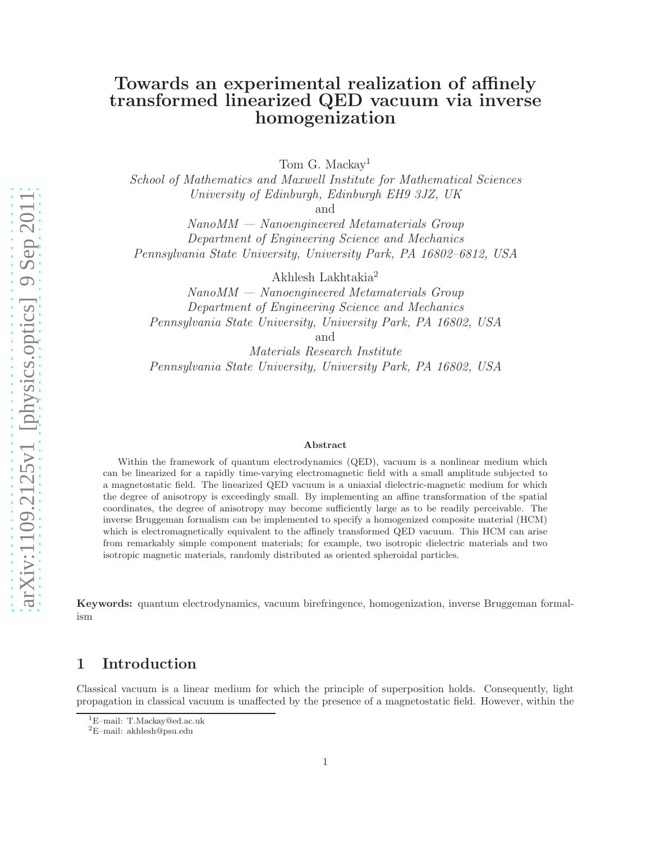# Towards an experimental realization of affinely transformed linearized QED vacuum via inverse homogenization

Tom G. Mackay<sup>1</sup>

School of Mathematics and Maxwell Institute for Mathematical Sciences University of Edinburgh, Edinburgh EH9 3JZ, UK

and

NanoMM — Nanoengineered Metamaterials Group Department of Engineering Science and Mechanics Pennsylvania State University, University Park, PA 16802–6812, USA

Akhlesh Lakhtakia<sup>2</sup>

NanoMM — Nanoengineered Metamaterials Group Department of Engineering Science and Mechanics Pennsylvania State University, University Park, PA 16802, USA

and

Materials Research Institute Pennsylvania State University, University Park, PA 16802, USA

#### Abstract

Within the framework of quantum electrodynamics (QED), vacuum is a nonlinear medium which can be linearized for a rapidly time-varying electromagnetic field with a small amplitude subjected to a magnetostatic field. The linearized QED vacuum is a uniaxial dielectric-magnetic medium for which the degree of anisotropy is exceedingly small. By implementing an affine transformation of the spatial coordinates, the degree of anisotropy may become sufficiently large as to be readily perceivable. The inverse Bruggeman formalism can be implemented to specify a homogenized composite material (HCM) which is electromagnetically equivalent to the affinely transformed QED vacuum. This HCM can arise from remarkably simple component materials; for example, two isotropic dielectric materials and two isotropic magnetic materials, randomly distributed as oriented spheroidal particles.

Keywords: quantum electrodynamics, vacuum birefringence, homogenization, inverse Bruggeman formalism

#### 1 Introduction

Classical vacuum is a linear medium for which the principle of superposition holds. Consequently, light propagation in classical vacuum is unaffected by the presence of a magnetostatic field. However, within the

<sup>1</sup>E–mail: T.Mackay@ed.ac.uk

<sup>2</sup>E–mail: akhlesh@psu.edu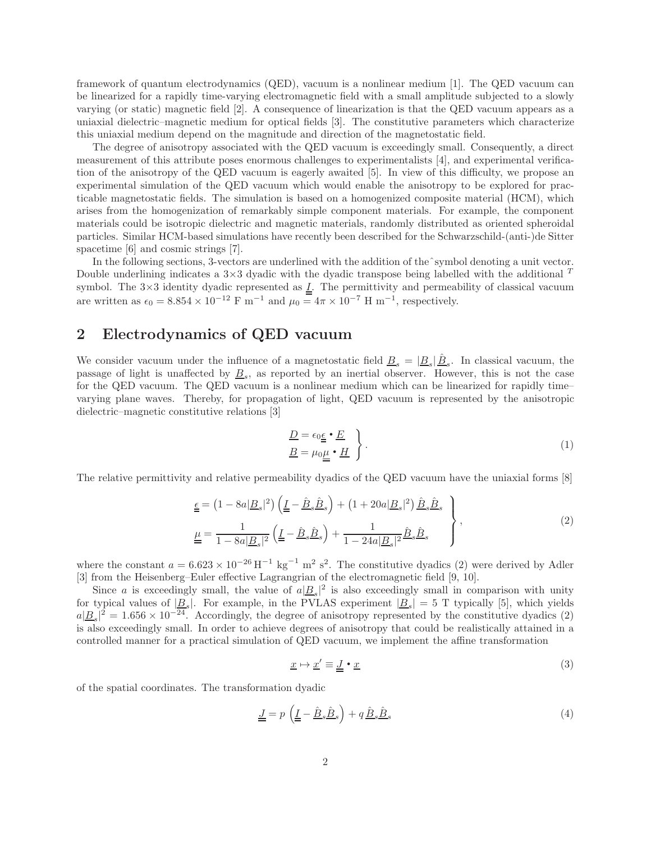framework of quantum electrodynamics (QED), vacuum is a nonlinear medium [1]. The QED vacuum can be linearized for a rapidly time-varying electromagnetic field with a small amplitude subjected to a slowly varying (or static) magnetic field [2]. A consequence of linearization is that the QED vacuum appears as a uniaxial dielectric–magnetic medium for optical fields [3]. The constitutive parameters which characterize this uniaxial medium depend on the magnitude and direction of the magnetostatic field.

The degree of anisotropy associated with the QED vacuum is exceedingly small. Consequently, a direct measurement of this attribute poses enormous challenges to experimentalists [4], and experimental verification of the anisotropy of the QED vacuum is eagerly awaited [5]. In view of this difficulty, we propose an experimental simulation of the QED vacuum which would enable the anisotropy to be explored for practicable magnetostatic fields. The simulation is based on a homogenized composite material (HCM), which arises from the homogenization of remarkably simple component materials. For example, the component materials could be isotropic dielectric and magnetic materials, randomly distributed as oriented spheroidal particles. Similar HCM-based simulations have recently been described for the Schwarzschild-(anti-)de Sitter spacetime [6] and cosmic strings [7].

In the following sections, 3-vectors are underlined with the addition of theˆsymbol denoting a unit vector. Double underlining indicates a  $3\times3$  dyadic with the dyadic transpose being labelled with the additional  $T$ symbol. The  $3\times3$  identity dyadic represented as  $\underline{I}$ . The permittivity and permeability of classical vacuum are written as  $\epsilon_0 = 8.854 \times 10^{-12}$  F m<sup>-1</sup> and  $\mu_0 = 4\pi \times 10^{-7}$  H m<sup>-1</sup>, respectively.

# 2 Electrodynamics of QED vacuum

We consider vacuum under the influence of a magnetostatic field  $\underline{B}_s = |\underline{B}_s| \hat{\underline{B}}_s$ . In classical vacuum, the passage of light is unaffected by  $\underline{B}_s$ , as reported by an inertial observer. However, this is not the case for the QED vacuum. The QED vacuum is a nonlinear medium which can be linearized for rapidly time– varying plane waves. Thereby, for propagation of light, QED vacuum is represented by the anisotropic dielectric–magnetic constitutive relations [3]

$$
\underline{D} = \epsilon_0 \underline{\epsilon} \cdot \underline{E}
$$
\n
$$
\underline{B} = \mu_0 \underline{\mu} \cdot \underline{H}
$$
\n(1)

The relative permittivity and relative permeability dyadics of the QED vacuum have the uniaxial forms [8]

$$
\underline{\underline{\underline{\epsilon}}} = \left(1 - 8a|\underline{B}_s|^2\right) \left(\underline{\underline{I}} - \hat{\underline{B}}_s \hat{\underline{B}}_s\right) + \left(1 + 20a|\underline{B}_s|^2\right) \hat{\underline{B}}_s \hat{\underline{B}}_s
$$
\n
$$
\underline{\underline{\mu}} = \frac{1}{1 - 8a|\underline{B}_s|^2} \left(\underline{\underline{I}} - \hat{\underline{B}}_s \hat{\underline{B}}_s\right) + \frac{1}{1 - 24a|\underline{B}_s|^2} \hat{\underline{B}}_s \hat{\underline{B}}_s
$$
\n
$$
\tag{2}
$$

where the constant  $a = 6.623 \times 10^{-26} \text{H}^{-1} \text{ kg}^{-1} \text{ m}^2 \text{ s}^2$ . The constitutive dyadics (2) were derived by Adler [3] from the Heisenberg–Euler effective Lagrangrian of the electromagnetic field [9, 10].

Since a is exceedingly small, the value of  $a|\underline{B}_s|^2$  is also exceedingly small in comparison with unity for typical values of  $|\underline{B}_s|$ . For example, in the PVLAS experiment  $|\underline{B}_s| = 5$  T typically [5], which yields  $a|\underline{B}_s|^2 = 1.656 \times 10^{-24}$ . Accordingly, the degree of anisotropy represented by the constitutive dyadics (2) is also exceedingly small. In order to achieve degrees of anisotropy that could be realistically attained in a controlled manner for a practical simulation of QED vacuum, we implement the affine transformation

$$
\underline{x} \mapsto \underline{x}' \equiv \underline{J} \cdot \underline{x} \tag{3}
$$

of the spatial coordinates. The transformation dyadic

$$
\underline{J} = p\left(\underline{I} - \hat{B}_s \hat{B}_s\right) + q\,\hat{B}_s \hat{B}_s\tag{4}
$$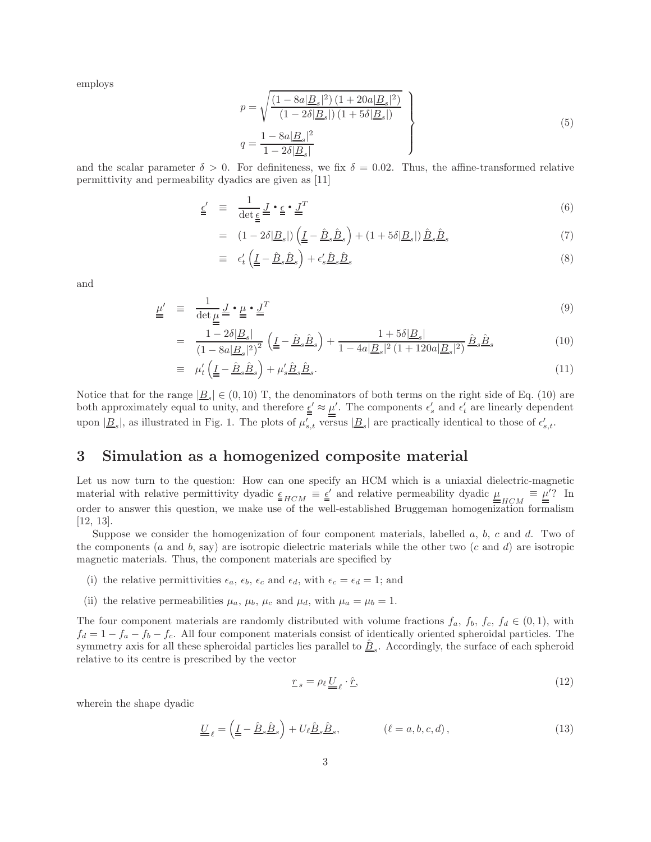employs

$$
p = \sqrt{\frac{(1 - 8a|B_s|^2)(1 + 20a|B_s|^2)}{(1 - 2\delta|B_s|)(1 + 5\delta|B_s|)}}
$$
  

$$
q = \frac{1 - 8a|B_s|^2}{1 - 2\delta|B_s|}
$$
 (5)

and the scalar parameter  $\delta > 0$ . For definiteness, we fix  $\delta = 0.02$ . Thus, the affine-transformed relative permittivity and permeability dyadics are given as [11]

$$
\underline{\epsilon}' \equiv \frac{1}{\det \underline{\epsilon}} \underline{J} \cdot \underline{\epsilon} \cdot \underline{J}^T \tag{6}
$$

$$
= (1 - 2\delta |B_s|) \left( \underline{I} - \hat{B}_s \hat{B}_s \right) + (1 + 5\delta |B_s|) \hat{B}_s \hat{B}_s \tag{7}
$$

$$
\equiv \epsilon'_t \left( \underline{I} - \underline{\hat{B}}_s \underline{\hat{B}}_s \right) + \epsilon'_s \underline{\hat{B}}_s \underline{\hat{B}}_s \tag{8}
$$

and

$$
\underline{\mu}' \equiv \frac{1}{\det \underline{\mu}} \underline{J} \cdot \underline{\mu} \cdot \underline{J}^T
$$
\n(9)

$$
= \frac{1 - 2\delta |B_s|}{\left(1 - 8a|B_s|^2\right)^2} \left(\underline{L} - \hat{B}_s \hat{B}_s\right) + \frac{1 + 5\delta |B_s|}{1 - 4a|B_s|^2 \left(1 + 120a|B_s|^2\right)} \hat{B}_s \hat{B}_s \tag{10}
$$

$$
\equiv \mu_t' \left( \underline{I} - \underline{\hat{B}}_s \underline{\hat{B}}_s \right) + \mu_s' \underline{\hat{B}}_s \underline{\hat{B}}_s. \tag{11}
$$

Notice that for the range  $|\underline{B}_s| \in (0, 10)$  T, the denominators of both terms on the right side of Eq. (10) are both approximately equal to unity, and therefore  $\underline{\epsilon}' \approx \underline{\mu}'$ . The components  $\epsilon'_{s}$  and  $\epsilon'_{t}$  are linearly dependent upon  $|\underline{B}_s|$ , as illustrated in Fig. 1. The plots of  $\mu'_{s,t}$  versus  $|\underline{B}_s|$  are practically identical to those of  $\epsilon'_{s,t}$ .

# 3 Simulation as a homogenized composite material

Let us now turn to the question: How can one specify an HCM which is a uniaxial dielectric-magnetic material with relative permittivity dyadic  $\underline{\epsilon}_{HCM} \equiv \underline{\epsilon}'$  and relative permeability dyadic  $\underline{\mu}_{HCM} \equiv \underline{\mu}'$ ? In order to answer this question, we make use of the well-established Bruggeman homogenization formalism [12, 13].

Suppose we consider the homogenization of four component materials, labelled  $a, b, c$  and  $d$ . Two of the components (a and b, say) are isotropic dielectric materials while the other two  $(c \text{ and } d)$  are isotropic magnetic materials. Thus, the component materials are specified by

- (i) the relative permittivities  $\epsilon_a$ ,  $\epsilon_b$ ,  $\epsilon_c$  and  $\epsilon_d$ , with  $\epsilon_c = \epsilon_d = 1$ ; and
- (ii) the relative permeabilities  $\mu_a$ ,  $\mu_b$ ,  $\mu_c$  and  $\mu_d$ , with  $\mu_a = \mu_b = 1$ .

The four component materials are randomly distributed with volume fractions  $f_a$ ,  $f_b$ ,  $f_c$ ,  $f_d \in (0,1)$ , with  $f_d = 1 - f_a - f_b - f_c$ . All four component materials consist of identically oriented spheroidal particles. The symmetry axis for all these spheroidal particles lies parallel to  $\underline{\hat{B}}_s$ . Accordingly, the surface of each spheroid relative to its centre is prescribed by the vector

$$
\underline{r}_s = \rho_\ell \underline{U}_\ell \cdot \hat{\underline{r}},\tag{12}
$$

wherein the shape dyadic

$$
\underline{U}_{\ell} = \left(\underline{I} - \hat{B}_s \hat{B}_s\right) + U_{\ell} \hat{B}_s \hat{B}_s, \qquad (\ell = a, b, c, d), \qquad (13)
$$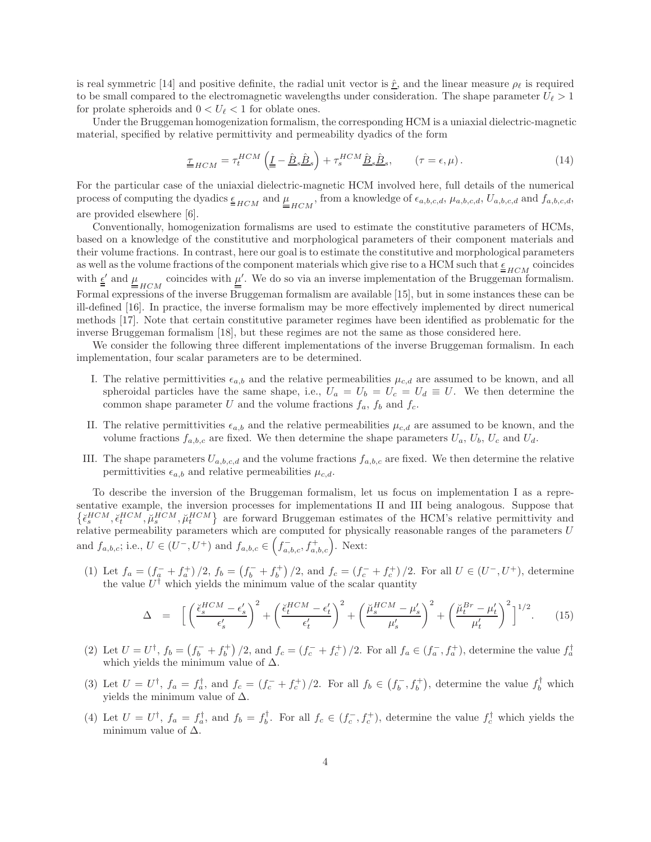is real symmetric [14] and positive definite, the radial unit vector is  $\hat{r}$ , and the linear measure  $\rho_{\ell}$  is required to be small compared to the electromagnetic wavelengths under consideration. The shape parameter  $U_{\ell} > 1$ for prolate spheroids and  $0 < U_{\ell} < 1$  for oblate ones.

Under the Bruggeman homogenization formalism, the corresponding HCM is a uniaxial dielectric-magnetic material, specified by relative permittivity and permeability dyadics of the form

$$
\underline{\tau}_{HCM} = \tau_t^{HCM} \left( \underline{I} - \hat{\underline{B}}_s \hat{\underline{B}}_s \right) + \tau_s^{HCM} \hat{\underline{B}}_s \hat{\underline{B}}_s, \qquad (\tau = \epsilon, \mu). \tag{14}
$$

For the particular case of the uniaxial dielectric-magnetic HCM involved here, full details of the numerical process of computing the dyadics  $\underline{\epsilon}_{HCM}$  and  $\underline{\mu}_{HCM}$ , from a knowledge of  $\epsilon_{a,b,c,d}$ ,  $\mu_{a,b,c,d}$ ,  $U_{a,b,c,d}$  and  $f_{a,b,c,d}$ are provided elsewhere [6].

Conventionally, homogenization formalisms are used to estimate the constitutive parameters of HCMs, based on a knowledge of the constitutive and morphological parameters of their component materials and their volume fractions. In contrast, here our goal is to estimate the constitutive and morphological parameters as well as the volume fractions of the component materials which give rise to a HCM such that  $\underline{\epsilon}_{HCM}$  coincides with  $\underline{\underline{e}}'$  and  $\underline{\underline{\mu}}_{HCM}$  coincides with  $\underline{\underline{\mu}}'$ . We do so via an inverse implementation of the Bruggeman formalism. Formal expressions of the inverse Bruggeman formalism are available [15], but in some instances these can be ill-defined [16]. In practice, the inverse formalism may be more effectively implemented by direct numerical methods [17]. Note that certain constitutive parameter regimes have been identified as problematic for the inverse Bruggeman formalism [18], but these regimes are not the same as those considered here.

We consider the following three different implementations of the inverse Bruggeman formalism. In each implementation, four scalar parameters are to be determined.

- I. The relative permittivities  $\epsilon_{a,b}$  and the relative permeabilities  $\mu_{c,d}$  are assumed to be known, and all spheroidal particles have the same shape, i.e.,  $U_a = U_b = U_c = U_d \equiv U$ . We then determine the common shape parameter U and the volume fractions  $f_a$ ,  $f_b$  and  $f_c$ .
- II. The relative permittivities  $\epsilon_{a,b}$  and the relative permeabilities  $\mu_{c,d}$  are assumed to be known, and the volume fractions  $f_{a,b,c}$  are fixed. We then determine the shape parameters  $U_a$ ,  $U_b$ ,  $U_c$  and  $U_d$ .
- III. The shape parameters  $U_{a,b,c,d}$  and the volume fractions  $f_{a,b,c}$  are fixed. We then determine the relative permittivities  $\epsilon_{a,b}$  and relative permeabilities  $\mu_{c,d}$ .

To describe the inversion of the Bruggeman formalism, let us focus on implementation I as a representative example, the inversion processes for implementations II and III being analogous. Suppose that  $\{\breve{\epsilon}_s^{HCM}, \breve{\epsilon}_t^{HCM}, \breve{\mu}_s^{HCM}\}$  are forward Bruggeman estimates of the HCM's relative permittivity and relative permeability parameters which are computed for physically reasonable ranges of the parameters U and  $f_{a,b,c}$ ; i.e.,  $U \in (U^-, U^+)$  and  $f_{a,b,c} \in (f_{a,b,c}^-, f_{a,b,c}^+)$ . Next:

(1) Let  $f_a = (f_a^+ + f_a^+) / 2$ ,  $f_b = (f_b^- + f_b^+)$  $\binom{+}{b}$  /2, and  $f_c = (f_c^- + f_c^+)$  /2. For all  $U \in (U^-, U^+)$ , determine the value  $U^{\dagger}$  which yields the minimum value of the scalar quantity

$$
\Delta = \left[ \left( \frac{\check{\epsilon}_s^{HCM} - \epsilon'_s}{\epsilon'_s} \right)^2 + \left( \frac{\check{\epsilon}_t^{HCM} - \epsilon'_t}{\epsilon'_t} \right)^2 + \left( \frac{\check{\mu}_s^{HCM} - \mu'_s}{\mu'_s} \right)^2 + \left( \frac{\check{\mu}_t^{Br} - \mu'_t}{\mu'_t} \right)^2 \right]^{1/2} . \tag{15}
$$

- (2) Let  $U = U^{\dagger}$ ,  $f_b = (f_b^- + f_b^+)$ Let  $U = U^{\dagger}$ ,  $f_b = (f_b^- + f_b^+) / 2$ , and  $f_c = (f_c^- + f_c^+) / 2$ . For all  $f_a \in (f_a^-, f_a^+)$ , determine the value  $f_a^{\dagger}$  which yields the minimum value of  $\Delta$ .
- (3) Let  $U = U^{\dagger}$ ,  $f_a = f_a^{\dagger}$ , and  $f_c = (f_c^- + f_c^+) / 2$ . For all  $f_b \in (f_b^-, f_b^+)$ , determine the value  $f_b^{\dagger}$  which yields the minimum value of  $\Delta$ .
- (4) Let  $U = U^{\dagger}$ ,  $f_a = f_a^{\dagger}$ , and  $f_b = f_b^{\dagger}$ . For all  $f_c \in (f_c^-, f_c^+)$ , determine the value  $f_c^{\dagger}$  which yields the minimum value of  $\Delta$ .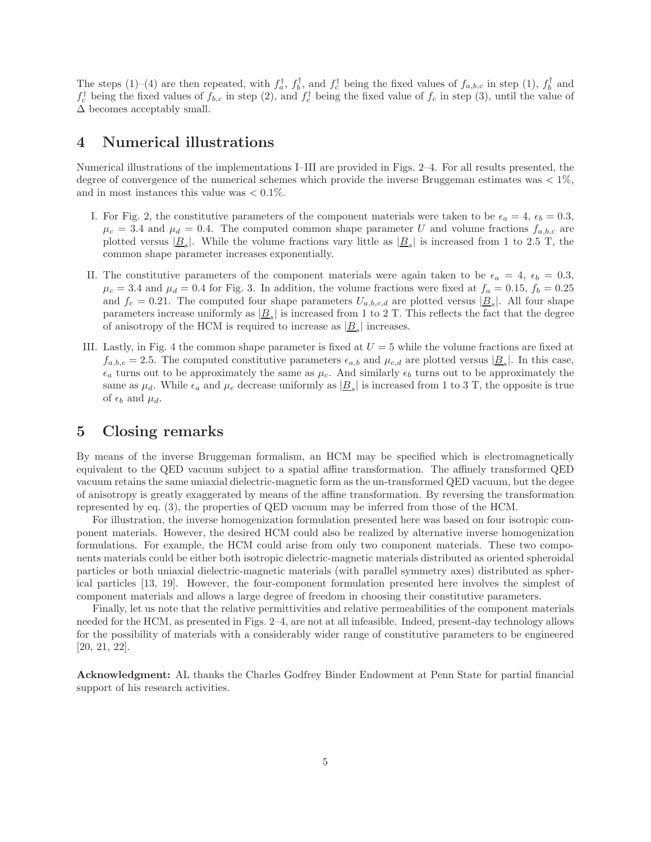The steps (1)–(4) are then repeated, with  $f_a^{\dagger}$ ,  $f_b^{\dagger}$ , and  $f_c^{\dagger}$  being the fixed values of  $f_{a,b,c}$  in step (1),  $f_b^{\dagger}$  and  $f_c^{\dagger}$  being the fixed values of  $f_{b,c}$  in step (2), and  $f_c^{\dagger}$  being the fixed value of  $f_c$  in step (3), until the value of  $\Delta$  becomes acceptably small.

#### 4 Numerical illustrations

Numerical illustrations of the implementations I–III are provided in Figs. 2–4. For all results presented, the degree of convergence of the numerical schemes which provide the inverse Bruggeman estimates was  $\lt 1\%$ . and in most instances this value was  $< 0.1\%$ .

- I. For Fig. 2, the constitutive parameters of the component materials were taken to be  $\epsilon_a = 4$ ,  $\epsilon_b = 0.3$ ,  $\mu_c = 3.4$  and  $\mu_d = 0.4$ . The computed common shape parameter U and volume fractions  $f_{a,b,c}$  are plotted versus  $|\underline{B}_s|$ . While the volume fractions vary little as  $|\underline{B}_s|$  is increased from 1 to 2.5 T, the common shape parameter increases exponentially.
- II. The constitutive parameters of the component materials were again taken to be  $\epsilon_a = 4$ ,  $\epsilon_b = 0.3$ ,  $\mu_c = 3.4$  and  $\mu_d = 0.4$  for Fig. 3. In addition, the volume fractions were fixed at  $f_a = 0.15$ ,  $f_b = 0.25$ and  $f_c = 0.21$ . The computed four shape parameters  $U_{a,b,c,d}$  are plotted versus  $|\underline{B}_s|$ . All four shape parameters increase uniformly as  $|\underline{B}_s|$  is increased from 1 to 2 T. This reflects the fact that the degree of anisotropy of the HCM is required to increase as  $|\underline{B}_s|$  increases.
- III. Lastly, in Fig. 4 the common shape parameter is fixed at  $U = 5$  while the volume fractions are fixed at  $f_{a,b,c} = 2.5$ . The computed constitutive parameters  $\epsilon_{a,b}$  and  $\mu_{c,d}$  are plotted versus  $|\underline{B}_s|$ . In this case,  $\epsilon_a$  turns out to be approximately the same as  $\mu_c$ . And similarly  $\epsilon_b$  turns out to be approximately the same as  $\mu_d$ . While  $\epsilon_a$  and  $\mu_c$  decrease uniformly as  $|\underline{B}_s|$  is increased from 1 to 3 T, the opposite is true of  $\epsilon_b$  and  $\mu_d$ .

### 5 Closing remarks

By means of the inverse Bruggeman formalism, an HCM may be specified which is electromagnetically equivalent to the QED vacuum subject to a spatial affine transformation. The affinely transformed QED vacuum retains the same uniaxial dielectric-magnetic form as the un-transformed QED vacuum, but the degee of anisotropy is greatly exaggerated by means of the affine transformation. By reversing the transformation represented by eq. (3), the properties of QED vacuum may be inferred from those of the HCM.

For illustration, the inverse homogenization formulation presented here was based on four isotropic component materials. However, the desired HCM could also be realized by alternative inverse homogenization formulations. For example, the HCM could arise from only two component materials. These two components materials could be either both isotropic dielectric-magnetic materials distributed as oriented spheroidal particles or both uniaxial dielectric-magnetic materials (with parallel symmetry axes) distributed as spherical particles [13, 19]. However, the four-component formulation presented here involves the simplest of component materials and allows a large degree of freedom in choosing their constitutive parameters.

Finally, let us note that the relative permittivities and relative permeabilities of the component materials needed for the HCM, as presented in Figs. 2–4, are not at all infeasible. Indeed, present-day technology allows for the possibility of materials with a considerably wider range of constitutive parameters to be engineered [20, 21, 22].

Acknowledgment: AL thanks the Charles Godfrey Binder Endowment at Penn State for partial financial support of his research activities.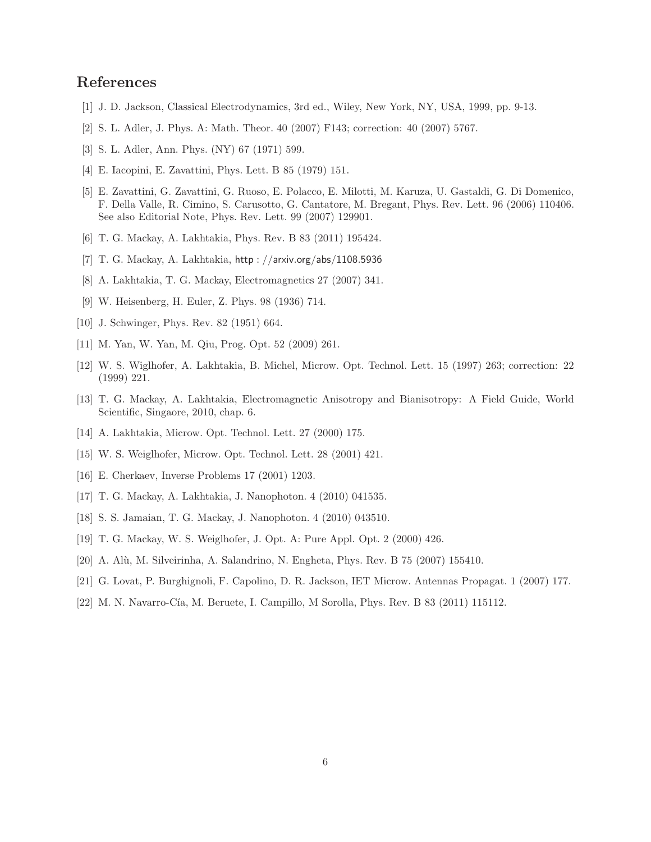# References

- [1] J. D. Jackson, Classical Electrodynamics, 3rd ed., Wiley, New York, NY, USA, 1999, pp. 9-13.
- [2] S. L. Adler, J. Phys. A: Math. Theor. 40 (2007) F143; correction: 40 (2007) 5767.
- [3] S. L. Adler, Ann. Phys. (NY) 67 (1971) 599.
- [4] E. Iacopini, E. Zavattini, Phys. Lett. B 85 (1979) 151.
- [5] E. Zavattini, G. Zavattini, G. Ruoso, E. Polacco, E. Milotti, M. Karuza, U. Gastaldi, G. Di Domenico, F. Della Valle, R. Cimino, S. Carusotto, G. Cantatore, M. Bregant, Phys. Rev. Lett. 96 (2006) 110406. See also Editorial Note, Phys. Rev. Lett. 99 (2007) 129901.
- [6] T. G. Mackay, A. Lakhtakia, Phys. Rev. B 83 (2011) 195424.
- [7] T. G. Mackay, A. Lakhtakia, http : //arxiv.org/abs/1108.5936
- [8] A. Lakhtakia, T. G. Mackay, Electromagnetics 27 (2007) 341.
- [9] W. Heisenberg, H. Euler, Z. Phys. 98 (1936) 714.
- [10] J. Schwinger, Phys. Rev. 82 (1951) 664.
- [11] M. Yan, W. Yan, M. Qiu, Prog. Opt. 52 (2009) 261.
- [12] W. S. Wiglhofer, A. Lakhtakia, B. Michel, Microw. Opt. Technol. Lett. 15 (1997) 263; correction: 22 (1999) 221.
- [13] T. G. Mackay, A. Lakhtakia, Electromagnetic Anisotropy and Bianisotropy: A Field Guide, World Scientific, Singaore, 2010, chap. 6.
- [14] A. Lakhtakia, Microw. Opt. Technol. Lett. 27 (2000) 175.
- [15] W. S. Weiglhofer, Microw. Opt. Technol. Lett. 28 (2001) 421.
- [16] E. Cherkaev, Inverse Problems 17 (2001) 1203.
- [17] T. G. Mackay, A. Lakhtakia, J. Nanophoton. 4 (2010) 041535.
- [18] S. S. Jamaian, T. G. Mackay, J. Nanophoton. 4 (2010) 043510.
- [19] T. G. Mackay, W. S. Weiglhofer, J. Opt. A: Pure Appl. Opt. 2 (2000) 426.
- [20] A. Alù, M. Silveirinha, A. Salandrino, N. Engheta, Phys. Rev. B 75 (2007) 155410.
- [21] G. Lovat, P. Burghignoli, F. Capolino, D. R. Jackson, IET Microw. Antennas Propagat. 1 (2007) 177.
- [22] M. N. Navarro-Cía, M. Beruete, I. Campillo, M Sorolla, Phys. Rev. B 83 (2011) 115112.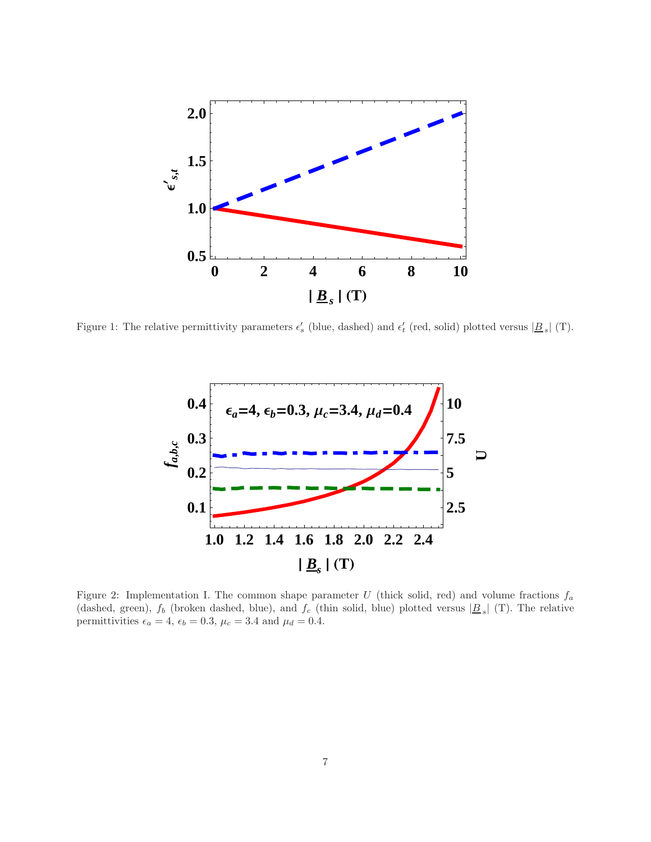

Figure 1: The relative permittivity parameters  $\epsilon'_{s}$  (blue, dashed) and  $\epsilon'_{t}$  (red, solid) plotted versus  $|\underline{B}_{s}|$  (T).



Figure 2: Implementation I. The common shape parameter U (thick solid, red) and volume fractions  $f_a$ (dashed, green),  $f_b$  (broken dashed, blue), and  $f_c$  (thin solid, blue) plotted versus  $|B_s|$  (T). The relative permittivities  $\epsilon_a = 4$ ,  $\epsilon_b = 0.3$ ,  $\mu_c = 3.4$  and  $\mu_d = 0.4$ .